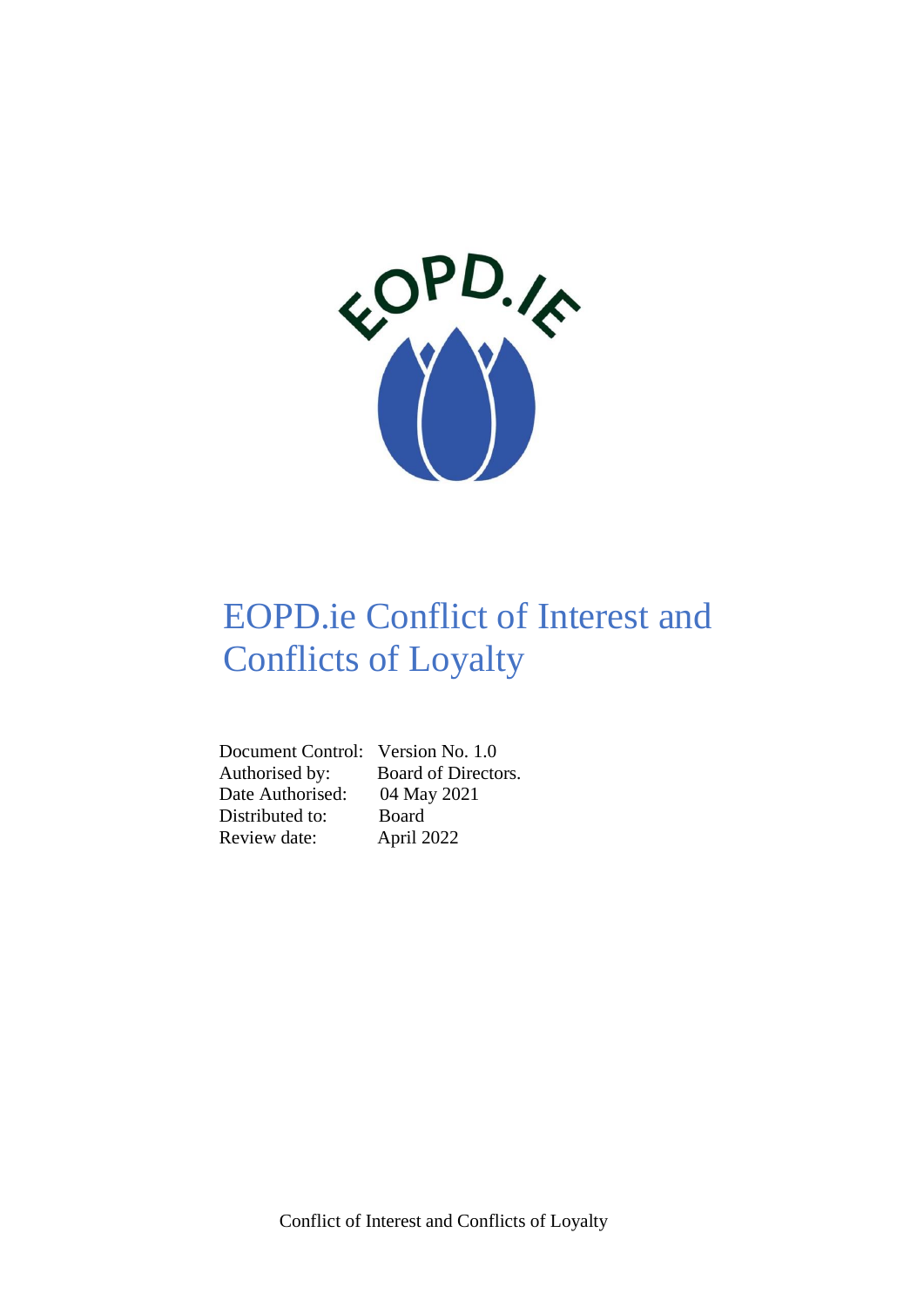

# EOPD.ie Conflict of Interest and Conflicts of Loyalty

 Document Control: Version No. 1.0 Date Authorised: 04 May 2021 Distributed to: Board Review date: April 2022

Authorised by: Board of Directors.

Conflict of Interest and Conflicts of Loyalty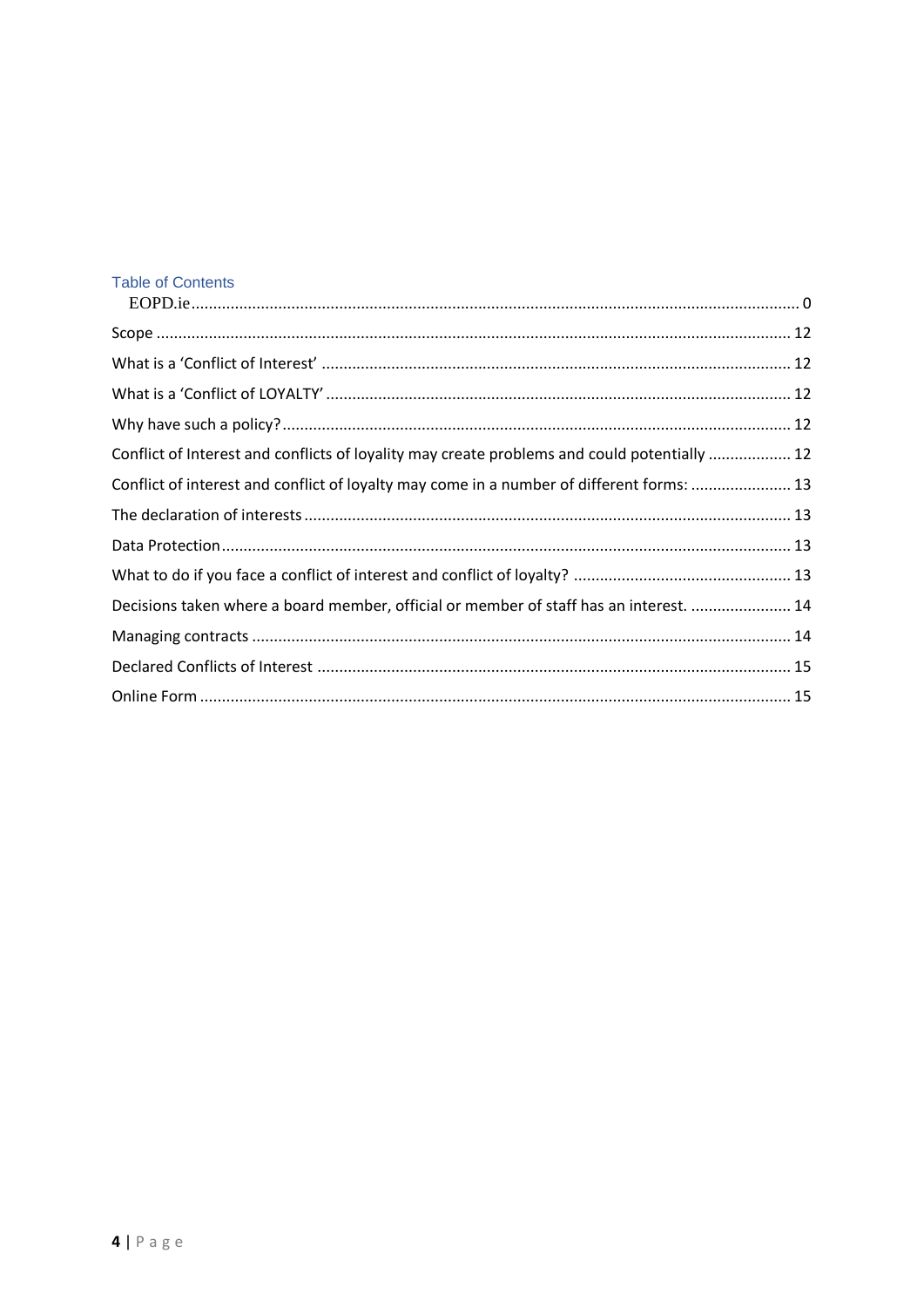## **Table of Contents**

| Conflict of Interest and conflicts of loyality may create problems and could potentially  12 |  |
|----------------------------------------------------------------------------------------------|--|
| Conflict of interest and conflict of loyalty may come in a number of different forms:  13    |  |
|                                                                                              |  |
|                                                                                              |  |
|                                                                                              |  |
| Decisions taken where a board member, official or member of staff has an interest.  14       |  |
|                                                                                              |  |
|                                                                                              |  |
|                                                                                              |  |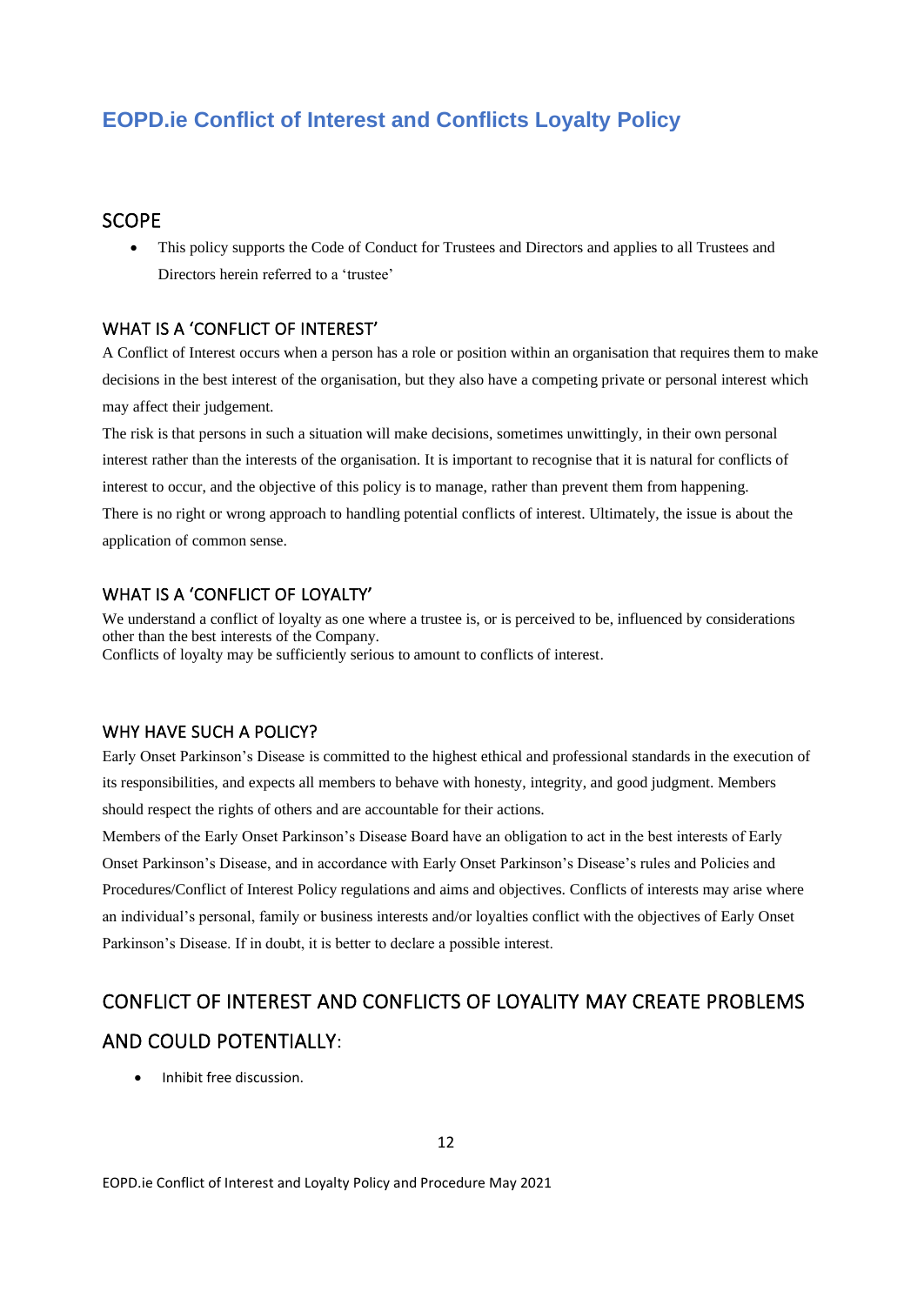## **EOPD.ie Conflict of Interest and Conflicts Loyalty Policy**

## <span id="page-2-0"></span>**SCOPE**

• This policy supports the Code of Conduct for Trustees and Directors and applies to all Trustees and Directors herein referred to a 'trustee'

## <span id="page-2-1"></span>WHAT IS A 'CONFLICT OF INTEREST'

A Conflict of Interest occurs when a person has a role or position within an organisation that requires them to make decisions in the best interest of the organisation, but they also have a competing private or personal interest which may affect their judgement.

The risk is that persons in such a situation will make decisions, sometimes unwittingly, in their own personal interest rather than the interests of the organisation. It is important to recognise that it is natural for conflicts of interest to occur, and the objective of this policy is to manage, rather than prevent them from happening. There is no right or wrong approach to handling potential conflicts of interest. Ultimately, the issue is about the application of common sense.

## <span id="page-2-2"></span>WHAT IS A 'CONFLICT OF LOYALTY'

We understand a conflict of loyalty as one where a trustee is, or is perceived to be, influenced by considerations other than the best interests of the Company. Conflicts of loyalty may be sufficiently serious to amount to conflicts of interest.

#### <span id="page-2-3"></span>WHY HAVE SUCH A POLICY?

Early Onset Parkinson's Disease is committed to the highest ethical and professional standards in the execution of its responsibilities, and expects all members to behave with honesty, integrity, and good judgment. Members should respect the rights of others and are accountable for their actions.

Members of the Early Onset Parkinson's Disease Board have an obligation to act in the best interests of Early Onset Parkinson's Disease, and in accordance with Early Onset Parkinson's Disease's rules and Policies and Procedures/Conflict of Interest Policy regulations and aims and objectives. Conflicts of interests may arise where an individual's personal, family or business interests and/or loyalties conflict with the objectives of Early Onset Parkinson's Disease. If in doubt, it is better to declare a possible interest.

## <span id="page-2-4"></span>CONFLICT OF INTEREST AND CONFLICTS OF LOYALITY MAY CREATE PROBLEMS AND COULD POTENTIALLY:

• Inhibit free discussion.

EOPD.ie Conflict of Interest and Loyalty Policy and Procedure May 2021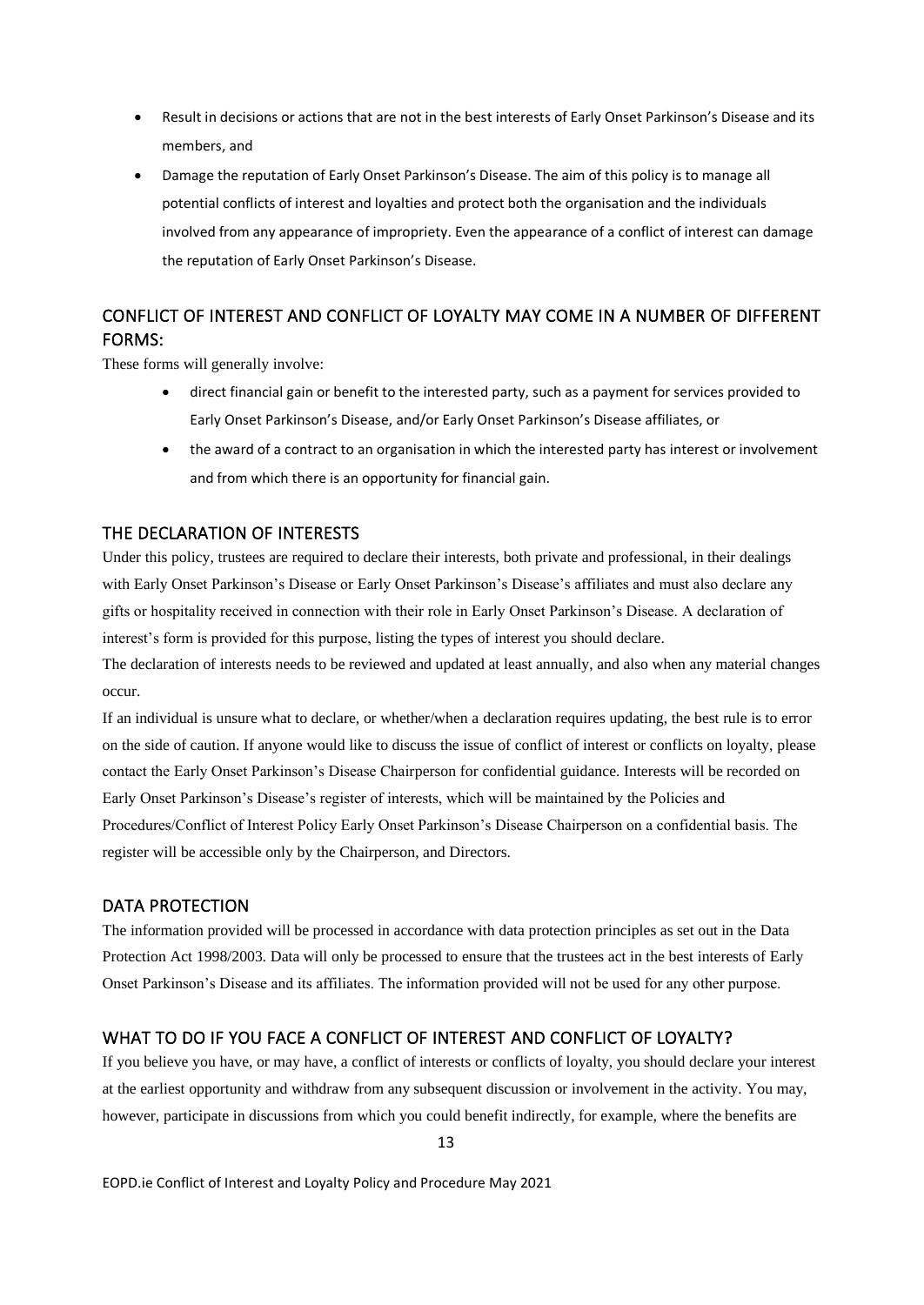- Result in decisions or actions that are not in the best interests of Early Onset Parkinson's Disease and its members, and
- Damage the reputation of Early Onset Parkinson's Disease. The aim of this policy is to manage all potential conflicts of interest and loyalties and protect both the organisation and the individuals involved from any appearance of impropriety. Even the appearance of a conflict of interest can damage the reputation of Early Onset Parkinson's Disease.

## <span id="page-3-0"></span>CONFLICT OF INTEREST AND CONFLICT OF LOYALTY MAY COME IN A NUMBER OF DIFFERENT FORMS:

These forms will generally involve:

- direct financial gain or benefit to the interested party, such as a payment for services provided to Early Onset Parkinson's Disease, and/or Early Onset Parkinson's Disease affiliates, or
- the award of a contract to an organisation in which the interested party has interest or involvement and from which there is an opportunity for financial gain.

## <span id="page-3-1"></span>THE DECLARATION OF INTERESTS

Under this policy, trustees are required to declare their interests, both private and professional, in their dealings with Early Onset Parkinson's Disease or Early Onset Parkinson's Disease's affiliates and must also declare any gifts or hospitality received in connection with their role in Early Onset Parkinson's Disease. A declaration of interest's form is provided for this purpose, listing the types of interest you should declare.

The declaration of interests needs to be reviewed and updated at least annually, and also when any material changes occur.

If an individual is unsure what to declare, or whether/when a declaration requires updating, the best rule is to error on the side of caution. If anyone would like to discuss the issue of conflict of interest or conflicts on loyalty, please contact the Early Onset Parkinson's Disease Chairperson for confidential guidance. Interests will be recorded on Early Onset Parkinson's Disease's register of interests, which will be maintained by the Policies and Procedures/Conflict of Interest Policy Early Onset Parkinson's Disease Chairperson on a confidential basis. The register will be accessible only by the Chairperson, and Directors.

## <span id="page-3-2"></span>DATA PROTECTION

The information provided will be processed in accordance with data protection principles as set out in the Data Protection Act 1998/2003. Data will only be processed to ensure that the trustees act in the best interests of Early Onset Parkinson's Disease and its affiliates. The information provided will not be used for any other purpose.

## <span id="page-3-3"></span>WHAT TO DO IF YOU FACE A CONFLICT OF INTEREST AND CONFLICT OF LOYALTY?

If you believe you have, or may have, a conflict of interests or conflicts of loyalty, you should declare your interest at the earliest opportunity and withdraw from any subsequent discussion or involvement in the activity. You may, however, participate in discussions from which you could benefit indirectly, for example, where the benefits are

EOPD.ie Conflict of Interest and Loyalty Policy and Procedure May 2021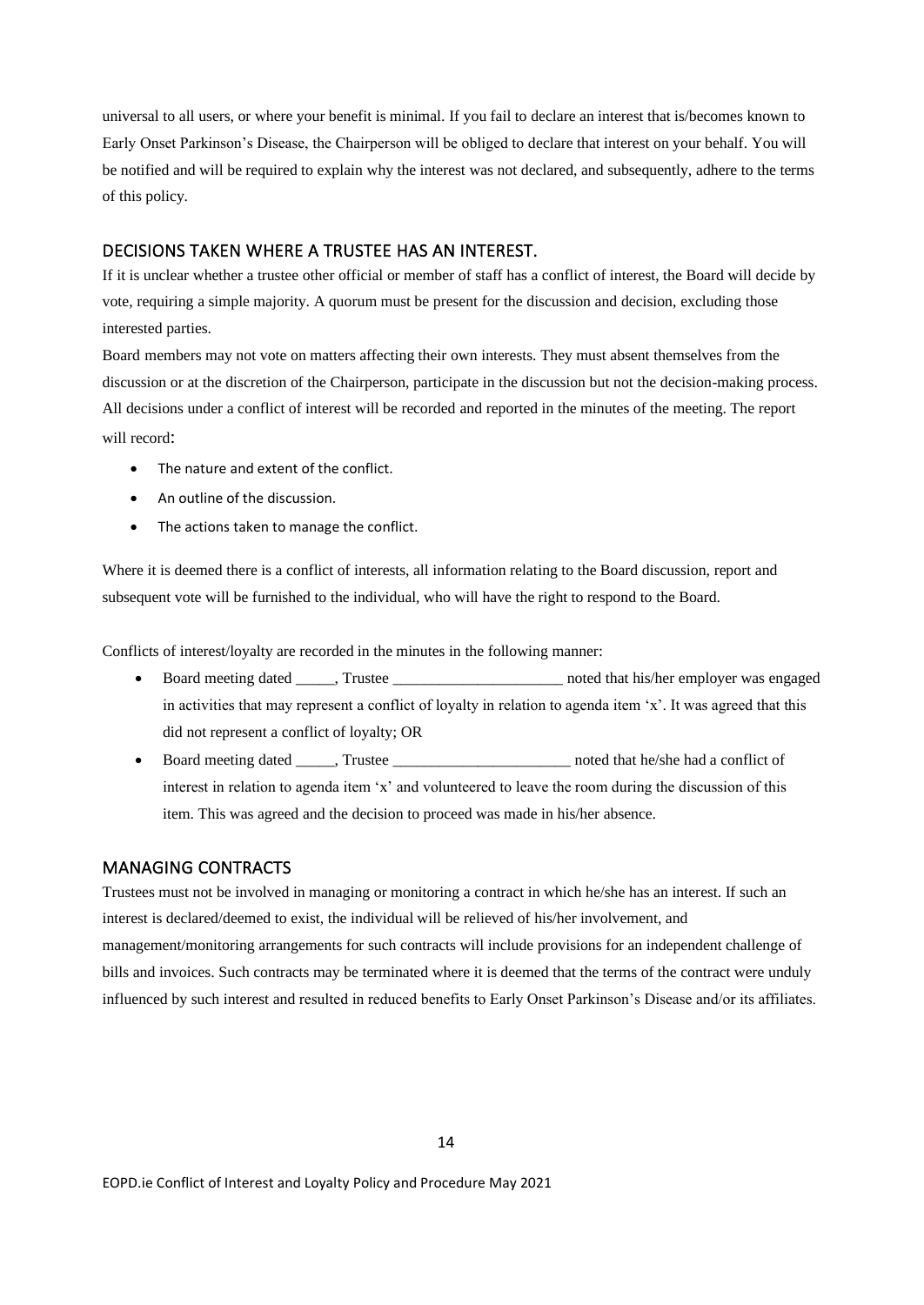universal to all users, or where your benefit is minimal. If you fail to declare an interest that is/becomes known to Early Onset Parkinson's Disease, the Chairperson will be obliged to declare that interest on your behalf. You will be notified and will be required to explain why the interest was not declared, and subsequently, adhere to the terms of this policy.

## <span id="page-4-0"></span>DECISIONS TAKEN WHERE A TRUSTEE HAS AN INTEREST.

If it is unclear whether a trustee other official or member of staff has a conflict of interest, the Board will decide by vote, requiring a simple majority. A quorum must be present for the discussion and decision, excluding those interested parties.

Board members may not vote on matters affecting their own interests. They must absent themselves from the discussion or at the discretion of the Chairperson, participate in the discussion but not the decision-making process. All decisions under a conflict of interest will be recorded and reported in the minutes of the meeting. The report will record:

- The nature and extent of the conflict.
- An outline of the discussion.
- The actions taken to manage the conflict.

Where it is deemed there is a conflict of interests, all information relating to the Board discussion, report and subsequent vote will be furnished to the individual, who will have the right to respond to the Board.

Conflicts of interest/loyalty are recorded in the minutes in the following manner:

- Board meeting dated \_\_\_\_\_, Trustee \_\_\_\_\_\_\_\_\_\_\_\_\_\_\_\_\_\_\_\_\_\_ noted that his/her employer was engaged in activities that may represent a conflict of loyalty in relation to agenda item 'x'. It was agreed that this did not represent a conflict of loyalty; OR
- Board meeting dated Trustee The noted that he/she had a conflict of interest in relation to agenda item 'x' and volunteered to leave the room during the discussion of this item. This was agreed and the decision to proceed was made in his/her absence.

#### <span id="page-4-1"></span>MANAGING CONTRACTS

Trustees must not be involved in managing or monitoring a contract in which he/she has an interest. If such an interest is declared/deemed to exist, the individual will be relieved of his/her involvement, and management/monitoring arrangements for such contracts will include provisions for an independent challenge of bills and invoices. Such contracts may be terminated where it is deemed that the terms of the contract were unduly influenced by such interest and resulted in reduced benefits to Early Onset Parkinson's Disease and/or its affiliates.